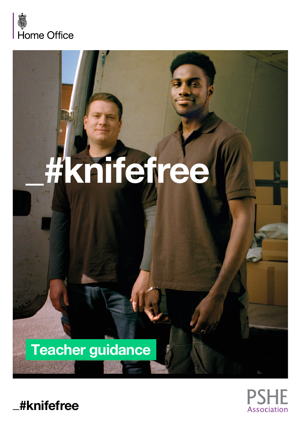

# **\_#knifefree**

## Teacher guidance



**\_#knifefree**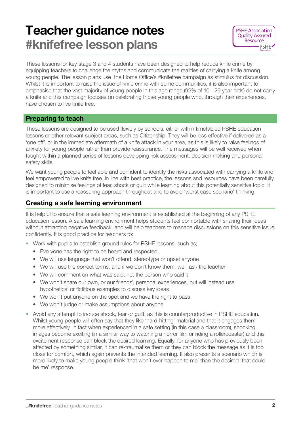### Teacher guidance notes #knifefree lesson plans



These lessons for key stage 3 and 4 students have been designed to help reduce knife crime by equipping teachers to challenge the myths and communicate the realities of carrying a knife among young people. The lesson plans use the Home Office's #knifefree campaign as stimulus for discussion. Whilst it is important to raise the issue of knife crime with some communities, it is also important to emphasise that the vast majority of young people in this age range (99% of 10 - 29 year olds) do not carry a knife and this campaign focuses on celebrating those young people who, through their experiences, have chosen to live knife free.

#### Preparing to teach

These lessons are designed to be used flexibly by schools, either within timetabled PSHE education lessons or other relevant subject areas, such as Citizenship. They will be less effective if delivered as a 'one off', or in the immediate aftermath of a knife attack in your area, as this is likely to raise feelings of anxiety for young people rather than provide reassurance. The messages will be well received when taught within a planned series of lessons developing risk assessment, decision making and personal safety skills.

We want young people to feel able and confident to identify the risks associated with carrying a knife and feel empowered to live knife free. In line with best practice, the lessons and resources have been carefully designed to minimise feelings of fear, shock or guilt while learning about this potentially sensitive topic. It is important to use a reassuring approach throughout and to avoid 'worst case scenario' thinking.

#### Creating a safe learning environment

It is helpful to ensure that a safe learning environment is established at the beginning of any PSHE education lesson. A safe learning environment helps students feel comfortable with sharing their ideas without attracting negative feedback, and will help teachers to manage discussions on this sensitive issue confidently. It is good practice for teachers to:

- Work with pupils to establish ground rules for PSHE lessons, such as;
	- Everyone has the right to be heard and respected
	- We will use language that won't offend, stereotype or upset anyone
	- We will use the correct terms, and if we don't know them, we'll ask the teacher
	- We will comment on what was said, not the person who said it
	- We won't share our own, or our friends', personal experiences, but will instead use hypothetical or fictitious examples to discuss key ideas
	- We won't put anyone on the spot and we have the right to pass
	- We won't judge or make assumptions about anyone
- Avoid any attempt to induce shock, fear or quilt, as this is counterproductive in PSHE education. Whilst young people will often say that they like 'hard-hitting' material and that it engages them more effectively, in fact when experienced in a safe setting (in this case a classroom), shocking images become exciting (in a similar way to watching a horror film or riding a rollercoaster) and this excitement response can block the desired learning. Equally, for anyone who has previously been affected by something similar, it can re-traumatise them or they can block the message as it is too close for comfort, which again prevents the intended learning. It also presents a scenario which is more likely to make young people think 'that won't ever happen to me' than the desired 'that could be me' response.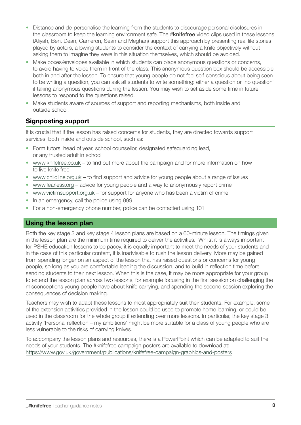- Distance and de-personalise the learning from the students to discourage personal disclosures in the classroom to keep the learning environment safe. The #knifefree video clips used in these lessons (Aliyah, Ben, Dean, Cameron, Sean and Meghan) support this approach by presenting real life stories played by actors, allowing students to consider the context of carrying a knife objectively without asking them to imagine they were in this situation themselves, which should be avoided.
- Make boxes/envelopes available in which students can place anonymous questions or concerns, to avoid having to voice them in front of the class. This anonymous question box should be accessible both in and after the lesson. To ensure that young people do not feel self-conscious about being seen to be writing a question, you can ask all students to write something: either a question or 'no question' if taking anonymous questions during the lesson. You may wish to set aside some time in future lessons to respond to the questions raised.
- Make students aware of sources of support and reporting mechanisms, both inside and outside school.

#### Signposting support

It is crucial that if the lesson has raised concerns for students, they are directed towards support services, both inside and outside school, such as:

- Form tutors, head of year, school counsellor, designated safeguarding lead, or any trusted adult in school
- [www.knifefree.co.uk](http://www.knifefree.co.uk)  to find out more about the campaign and for more information on how to live knife free
- [www.childline.org.uk](http://www.childline.org.uk) to find support and advice for young people about a range of issues
- [www.fearless.org](http://www.fearless.org) advice for young people and a way to anonymously report crime
- [www.victimsupport.org.uk](http://www.victimsupport.org.uk) for support for anyone who has been a victim of crime
- In an emergency, call the police using 999
- For a non-emergency phone number, police can be contacted using 101

#### Using the lesson plan

Both the key stage 3 and key stage 4 lesson plans are based on a 60-minute lesson. The timings given in the lesson plan are the minimum time required to deliver the activities. Whilst it is always important for PSHE education lessons to be pacey, it is equally important to meet the needs of your students and in the case of this particular content, it is inadvisable to rush the lesson delivery. More may be gained from spending longer on an aspect of the lesson that has raised questions or concerns for young people, so long as you are comfortable leading the discussion, and to build in reflection time before sending students to their next lesson. When this is the case, it may be more appropriate for your group to extend the lesson plan across two lessons, for example focusing in the first session on challenging the misconceptions young people have about knife carrying, and spending the second session exploring the consequences of decision making.

Teachers may wish to adapt these lessons to most appropriately suit their students. For example, some of the extension activities provided in the lesson could be used to promote home learning, or could be used in the classroom for the whole group if extending over more lessons. In particular, the key stage 3 activity 'Personal reflection – my ambitions' might be more suitable for a class of young people who are less vulnerable to the risks of carrying knives.

To accompany the lesson plans and resources, there is a PowerPoint which can be adapted to suit the needs of your students. The #knifefree campaign posters are available to download at: <https://www.gov.uk/government/publications/knifefree-campaign-graphics-and-posters>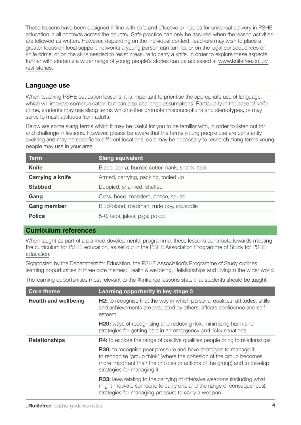These lessons have been designed in line with safe and effective principles for universal delivery in PSHE education in all contexts across the country. Safe practice can only be assured when the lesson activities are followed as written. However, depending on the individual context, teachers may wish to place a greater focus on local support networks a young person can turn to, or on the legal consequences of knife crime, or on the skills needed to resist pressure to carry a knife. In order to explore these aspects further with students a wider range of young people's stories can be accessed at [www.knifefree.co.uk/](http://www.knifefree.co.uk/real-stories) [real-stories](http://www.knifefree.co.uk/real-stories).

#### Language use

When teaching PSHE education lessons, it is important to prioritise the appropriate use of language, which will improve communication but can also challenge assumptions. Particularly in the case of knife crime, students may use slang terms which either promote misconceptions and stereotypes, or may serve to mask attitudes from adults.

Below are some slang terms which it may be useful for you to be familiar with, in order to listen out for and challenge in lessons. However, please be aware that the terms young people use are constantly evolving and may be specific to different locations, so it may be necessary to research slang terms young people may use in your area.

| <b>Term</b>             | <b>Slang equivalent</b>                         |
|-------------------------|-------------------------------------------------|
| <b>Knife</b>            | Blade, borra, burner, cutter, nank, shank, tool |
| <b>Carrying a knife</b> | Armed, carrying, packing, tooled up             |
| <b>Stabbed</b>          | Duppied, shanked, sheffed                       |
| Gang                    | Crew, hood, mandem, posse, squad                |
| <b>Gang member</b>      | Blud/blood, roadman, rude boy, squaddie         |
| <b>Police</b>           | 5-0, feds, jakes, pigs, po-po                   |

#### Curriculum references

When taught as part of a planned developmental programme, these lessons contribute towards meeting the curriculum for PSHE education, as set out in the [PSHE Association Programme of Study for PSHE](https://www.pshe-association.org.uk/curriculum-and-resources/resources/programme-study-pshe-education-key-stages-1%E2%80%935)  [education](https://www.pshe-association.org.uk/curriculum-and-resources/resources/programme-study-pshe-education-key-stages-1%E2%80%935).

Signposted by the Department for Education, the PSHE Association's Programme of Study outlines learning opportunities in three core themes: Health & wellbeing, Relationships and Living in the wider world.

The learning opportunities most relevant to the #knifefree lessons state that students should be taught:

| <b>Core theme</b>           | Learning opportunity in key stage 3                                                                                                                                                                                                               |
|-----------------------------|---------------------------------------------------------------------------------------------------------------------------------------------------------------------------------------------------------------------------------------------------|
| <b>Health and wellbeing</b> | <b>H2:</b> to recognise that the way in which personal qualities, attitudes, skills<br>and achievements are evaluated by others, affects confidence and self-<br>esteem                                                                           |
|                             | <b>H20:</b> ways of recognising and reducing risk, minimising harm and<br>strategies for getting help in an emergency and risky situations                                                                                                        |
| <b>Relationships</b>        | <b>R4:</b> to explore the range of positive qualities people bring to relationships                                                                                                                                                               |
|                             | R30: to recognise peer pressure and have strategies to manage it;<br>to recognise 'group think' (where the cohesion of the group becomes<br>more important than the choices or actions of the group) and to develop<br>strategies for managing it |
|                             | <b>R33:</b> laws relating to the carrying of offensive weapons (including what<br>might motivate someone to carry one and the range of consequences);<br>strategies for managing pressure to carry a weapon                                       |